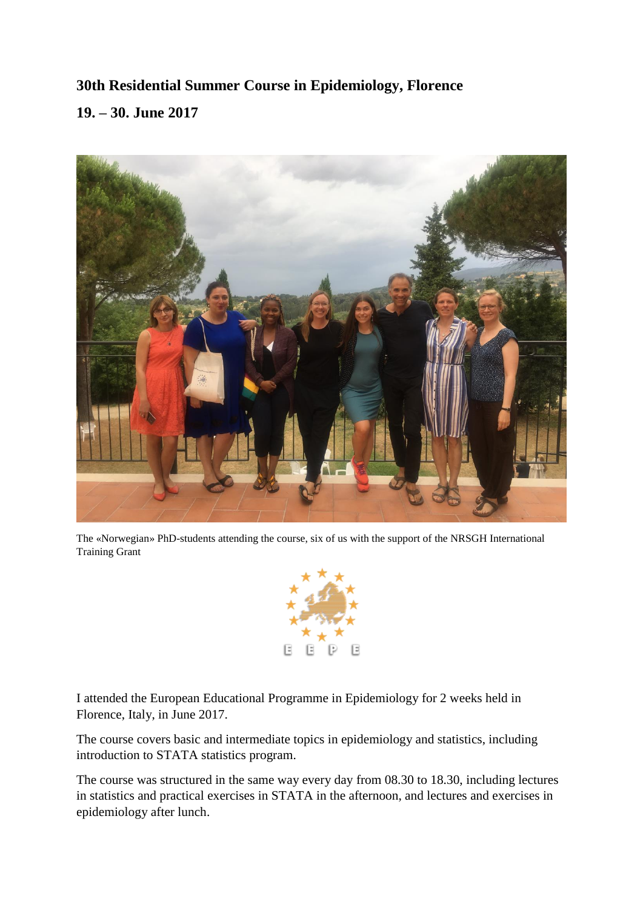## **30th Residential Summer Course in Epidemiology, Florence 19. – 30. June 2017**



The «Norwegian» PhD-students attending the course, six of us with the support of the NRSGH International Training Grant



I attended the European Educational Programme in Epidemiology for 2 weeks held in Florence, Italy, in June 2017.

The course covers basic and intermediate topics in epidemiology and statistics, including introduction to STATA statistics program.

The course was structured in the same way every day from 08.30 to 18.30, including lectures in statistics and practical exercises in STATA in the afternoon, and lectures and exercises in epidemiology after lunch.